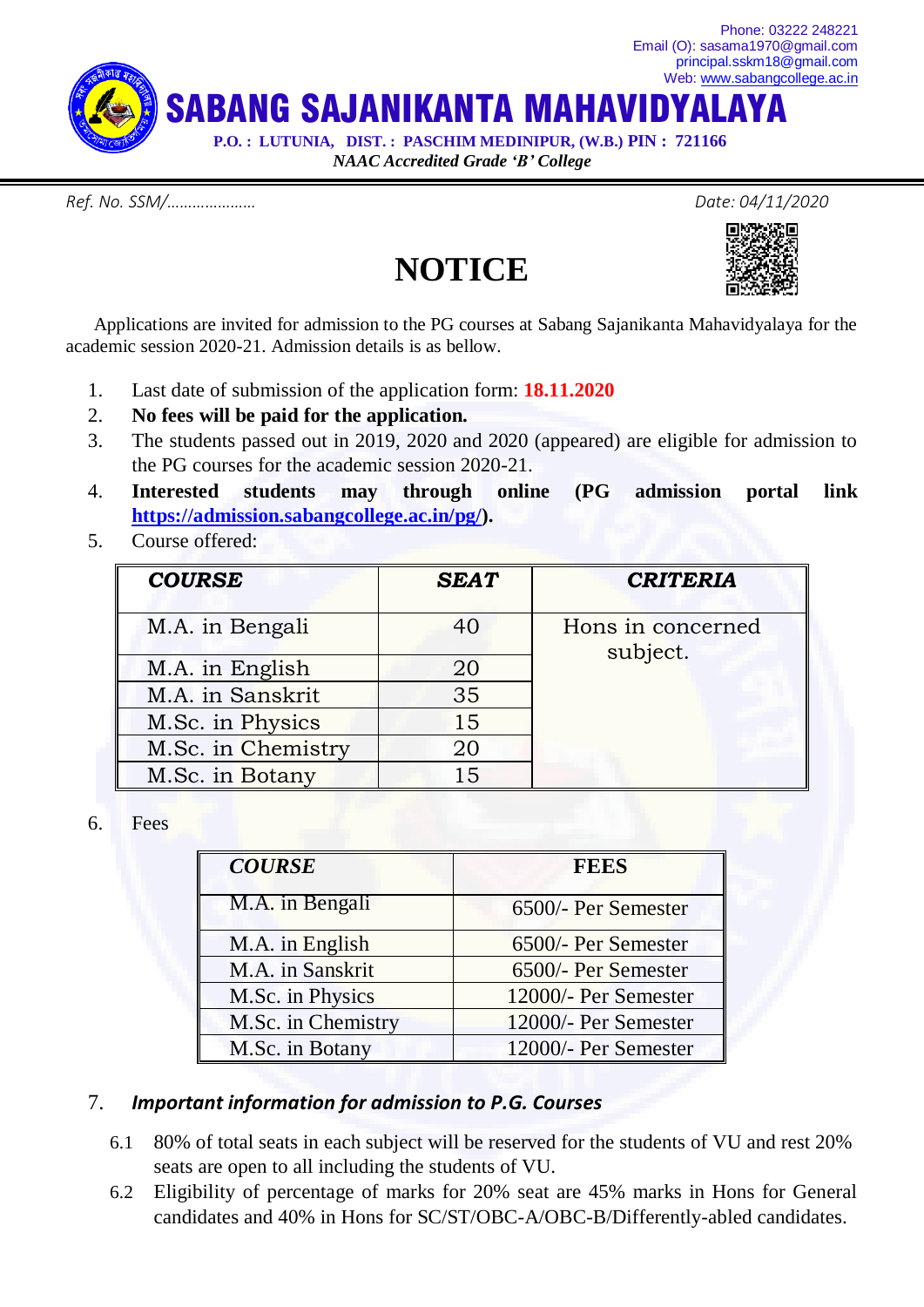

*Ref. No. SSM/………………… Date: 04/11/2020*

## **NOTICE**



Applications are invited for admission to the PG courses at Sabang Sajanikanta Mahavidyalaya for the academic session 2020-21. Admission details is as bellow.

- 1. Last date of submission of the application form: **18.11.2020**
- 2. **No fees will be paid for the application.**
- 3. The students passed out in 2019, 2020 and 2020 (appeared) are eligible for admission to the PG courses for the academic session 2020-21.
- 4. **Interested students may through online (PG admission portal link [https://admission.sabangcollege.ac.in/pg/\)](https://admission.sabangcollege.ac.in/pg/).**
- 5. Course offered:

| <b>COURSE</b>      | <b>SEAT</b> | <b>CRITERIA</b>               |
|--------------------|-------------|-------------------------------|
| M.A. in Bengali    | 40          | Hons in concerned<br>subject. |
| M.A. in English    | 20          |                               |
| M.A. in Sanskrit   | 35          |                               |
| M.Sc. in Physics   | 15          |                               |
| M.Sc. in Chemistry | 20          |                               |
| M.Sc. in Botany    | 15          |                               |

6. Fees

| <b>COURSE</b>      | <b>FEES</b>          |
|--------------------|----------------------|
| M.A. in Bengali    | 6500/- Per Semester  |
| M.A. in English    | 6500/- Per Semester  |
| M.A. in Sanskrit   | 6500/- Per Semester  |
| M.Sc. in Physics   | 12000/- Per Semester |
| M.Sc. in Chemistry | 12000/- Per Semester |
| M.Sc. in Botany    | 12000/- Per Semester |

## 7. *Important information for admission to P.G. Courses*

- 6.1 80% of total seats in each subject will be reserved for the students of VU and rest 20% seats are open to all including the students of VU.
- 6.2 Eligibility of percentage of marks for 20% seat are 45% marks in Hons for General candidates and 40% in Hons for SC/ST/OBC-A/OBC-B/Differently-abled candidates.